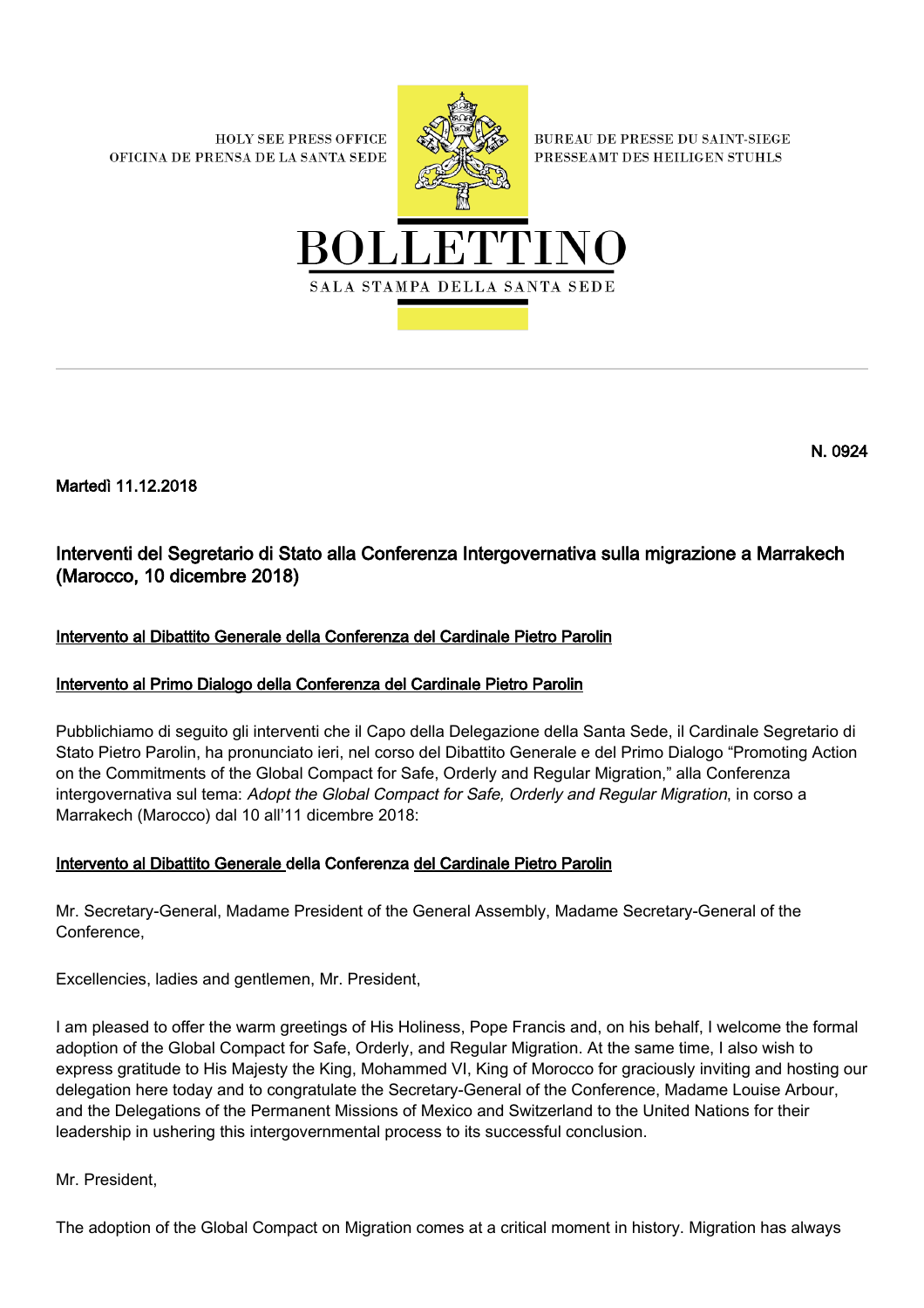**HOLY SEE PRESS OFFICE** OFICINA DE PRENSA DE LA SANTA SEDE



**BUREAU DE PRESSE DU SAINT-SIEGE** PRESSEAMT DES HEILIGEN STUHLS



Martedì 11.12.2018

# Interventi del Segretario di Stato alla Conferenza Intergovernativa sulla migrazione a Marrakech (Marocco, 10 dicembre 2018)

# Intervento al Dibattito Generale della Conferenza del Cardinale Pietro Parolin

# Intervento al Primo Dialogo della Conferenza del Cardinale Pietro Parolin

Pubblichiamo di seguito gli interventi che il Capo della Delegazione della Santa Sede, il Cardinale Segretario di Stato Pietro Parolin, ha pronunciato ieri, nel corso del Dibattito Generale e del Primo Dialogo "Promoting Action on the Commitments of the Global Compact for Safe, Orderly and Regular Migration," alla Conferenza intergovernativa sul tema: Adopt the Global Compact for Safe, Orderly and Regular Migration, in corso a Marrakech (Marocco) dal 10 all'11 dicembre 2018:

# Intervento al Dibattito Generale della Conferenza del Cardinale Pietro Parolin

Mr. Secretary-General, Madame President of the General Assembly, Madame Secretary-General of the Conference,

Excellencies, ladies and gentlemen, Mr. President,

I am pleased to offer the warm greetings of His Holiness, Pope Francis and, on his behalf, I welcome the formal adoption of the Global Compact for Safe, Orderly, and Regular Migration. At the same time, I also wish to express gratitude to His Majesty the King, Mohammed VI, King of Morocco for graciously inviting and hosting our delegation here today and to congratulate the Secretary-General of the Conference, Madame Louise Arbour, and the Delegations of the Permanent Missions of Mexico and Switzerland to the United Nations for their leadership in ushering this intergovernmental process to its successful conclusion.

Mr. President,

The adoption of the Global Compact on Migration comes at a critical moment in history. Migration has always

N. 0924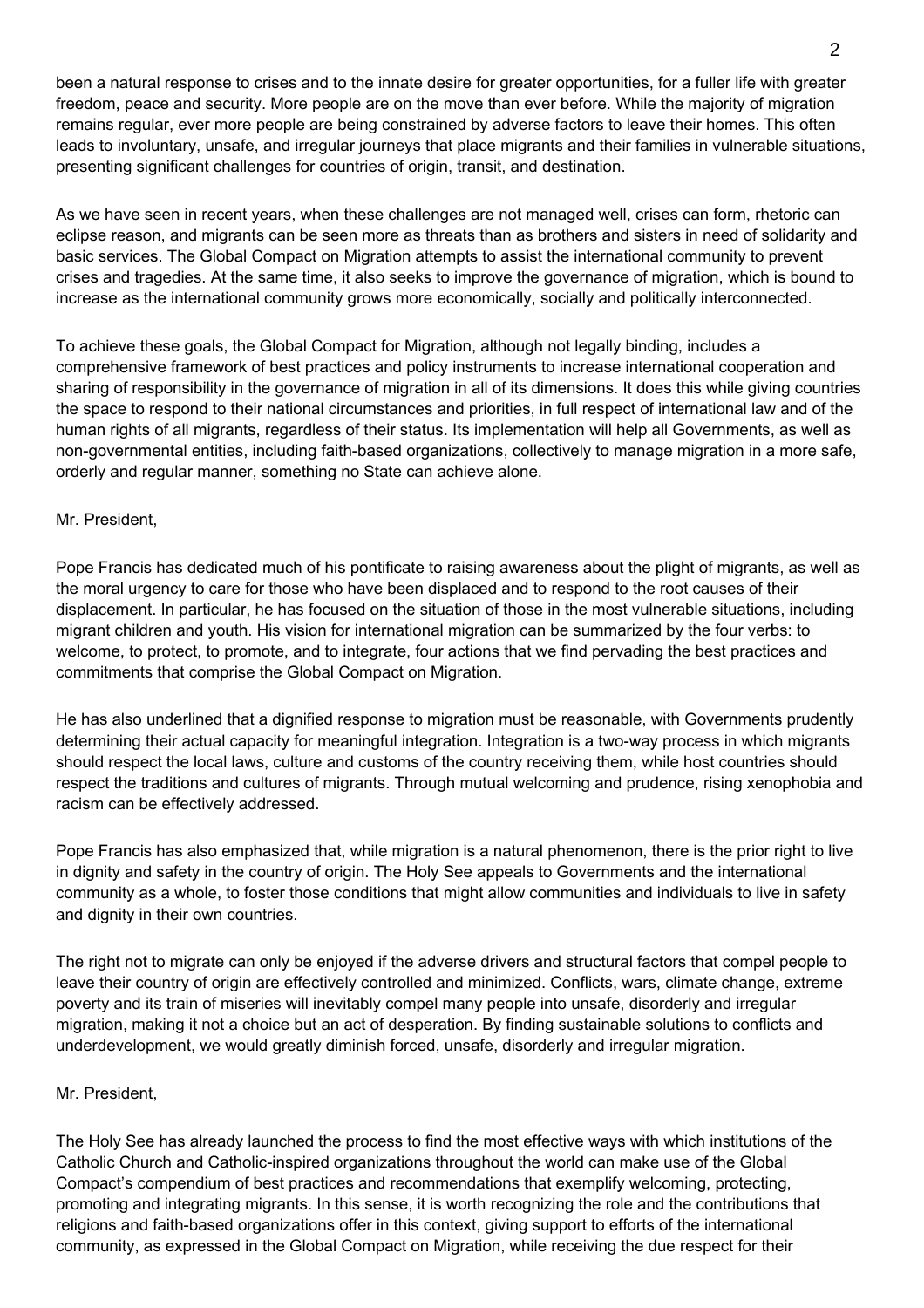been a natural response to crises and to the innate desire for greater opportunities, for a fuller life with greater freedom, peace and security. More people are on the move than ever before. While the majority of migration remains regular, ever more people are being constrained by adverse factors to leave their homes. This often leads to involuntary, unsafe, and irregular journeys that place migrants and their families in vulnerable situations, presenting significant challenges for countries of origin, transit, and destination.

As we have seen in recent years, when these challenges are not managed well, crises can form, rhetoric can eclipse reason, and migrants can be seen more as threats than as brothers and sisters in need of solidarity and basic services. The Global Compact on Migration attempts to assist the international community to prevent crises and tragedies. At the same time, it also seeks to improve the governance of migration, which is bound to increase as the international community grows more economically, socially and politically interconnected.

To achieve these goals, the Global Compact for Migration, although not legally binding, includes a comprehensive framework of best practices and policy instruments to increase international cooperation and sharing of responsibility in the governance of migration in all of its dimensions. It does this while giving countries the space to respond to their national circumstances and priorities, in full respect of international law and of the human rights of all migrants, regardless of their status. Its implementation will help all Governments, as well as non-governmental entities, including faith-based organizations, collectively to manage migration in a more safe, orderly and regular manner, something no State can achieve alone.

### Mr. President,

Pope Francis has dedicated much of his pontificate to raising awareness about the plight of migrants, as well as the moral urgency to care for those who have been displaced and to respond to the root causes of their displacement. In particular, he has focused on the situation of those in the most vulnerable situations, including migrant children and youth. His vision for international migration can be summarized by the four verbs: to welcome, to protect, to promote, and to integrate, four actions that we find pervading the best practices and commitments that comprise the Global Compact on Migration.

He has also underlined that a dignified response to migration must be reasonable, with Governments prudently determining their actual capacity for meaningful integration. Integration is a two-way process in which migrants should respect the local laws, culture and customs of the country receiving them, while host countries should respect the traditions and cultures of migrants. Through mutual welcoming and prudence, rising xenophobia and racism can be effectively addressed.

Pope Francis has also emphasized that, while migration is a natural phenomenon, there is the prior right to live in dignity and safety in the country of origin. The Holy See appeals to Governments and the international community as a whole, to foster those conditions that might allow communities and individuals to live in safety and dignity in their own countries.

The right not to migrate can only be enjoyed if the adverse drivers and structural factors that compel people to leave their country of origin are effectively controlled and minimized. Conflicts, wars, climate change, extreme poverty and its train of miseries will inevitably compel many people into unsafe, disorderly and irregular migration, making it not a choice but an act of desperation. By finding sustainable solutions to conflicts and underdevelopment, we would greatly diminish forced, unsafe, disorderly and irregular migration.

#### Mr. President,

The Holy See has already launched the process to find the most effective ways with which institutions of the Catholic Church and Catholic-inspired organizations throughout the world can make use of the Global Compact's compendium of best practices and recommendations that exemplify welcoming, protecting, promoting and integrating migrants. In this sense, it is worth recognizing the role and the contributions that religions and faith-based organizations offer in this context, giving support to efforts of the international community, as expressed in the Global Compact on Migration, while receiving the due respect for their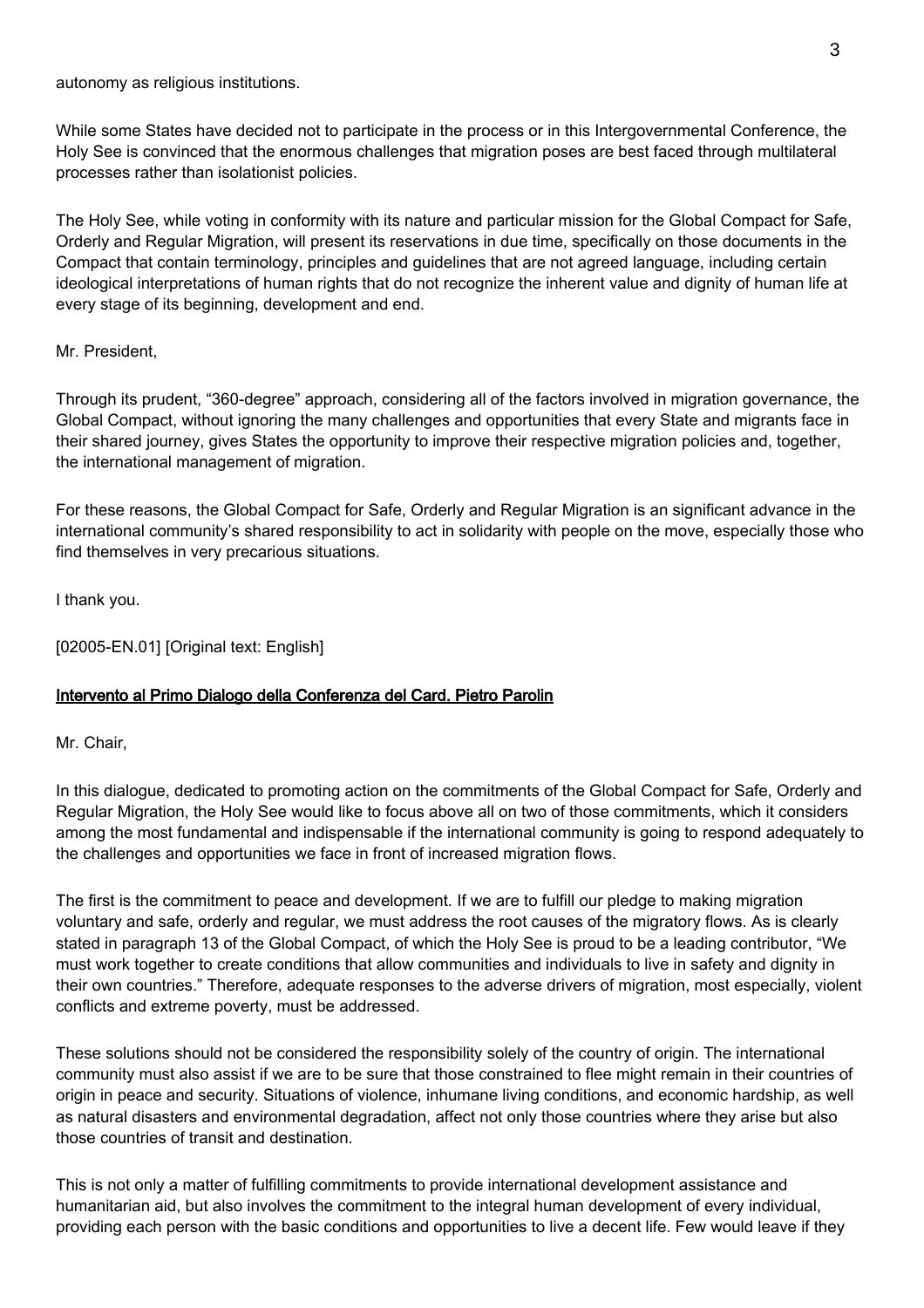autonomy as religious institutions.

While some States have decided not to participate in the process or in this Intergovernmental Conference, the Holy See is convinced that the enormous challenges that migration poses are best faced through multilateral processes rather than isolationist policies.

The Holy See, while voting in conformity with its nature and particular mission for the Global Compact for Safe, Orderly and Regular Migration, will present its reservations in due time, specifically on those documents in the Compact that contain terminology, principles and guidelines that are not agreed language, including certain ideological interpretations of human rights that do not recognize the inherent value and dignity of human life at every stage of its beginning, development and end.

#### Mr. President,

Through its prudent, "360-degree" approach, considering all of the factors involved in migration governance, the Global Compact, without ignoring the many challenges and opportunities that every State and migrants face in their shared journey, gives States the opportunity to improve their respective migration policies and, together, the international management of migration.

For these reasons, the Global Compact for Safe, Orderly and Regular Migration is an significant advance in the international community's shared responsibility to act in solidarity with people on the move, especially those who find themselves in very precarious situations.

I thank you.

[02005-EN.01] [Original text: English]

### Intervento al Primo Dialogo della Conferenza del Card. Pietro Parolin

Mr. Chair,

In this dialogue, dedicated to promoting action on the commitments of the Global Compact for Safe, Orderly and Regular Migration, the Holy See would like to focus above all on two of those commitments, which it considers among the most fundamental and indispensable if the international community is going to respond adequately to the challenges and opportunities we face in front of increased migration flows.

The first is the commitment to peace and development. If we are to fulfill our pledge to making migration voluntary and safe, orderly and regular, we must address the root causes of the migratory flows. As is clearly stated in paragraph 13 of the Global Compact, of which the Holy See is proud to be a leading contributor, "We must work together to create conditions that allow communities and individuals to live in safety and dignity in their own countries." Therefore, adequate responses to the adverse drivers of migration, most especially, violent conflicts and extreme poverty, must be addressed.

These solutions should not be considered the responsibility solely of the country of origin. The international community must also assist if we are to be sure that those constrained to flee might remain in their countries of origin in peace and security. Situations of violence, inhumane living conditions, and economic hardship, as well as natural disasters and environmental degradation, affect not only those countries where they arise but also those countries of transit and destination.

This is not only a matter of fulfilling commitments to provide international development assistance and humanitarian aid, but also involves the commitment to the integral human development of every individual, providing each person with the basic conditions and opportunities to live a decent life. Few would leave if they